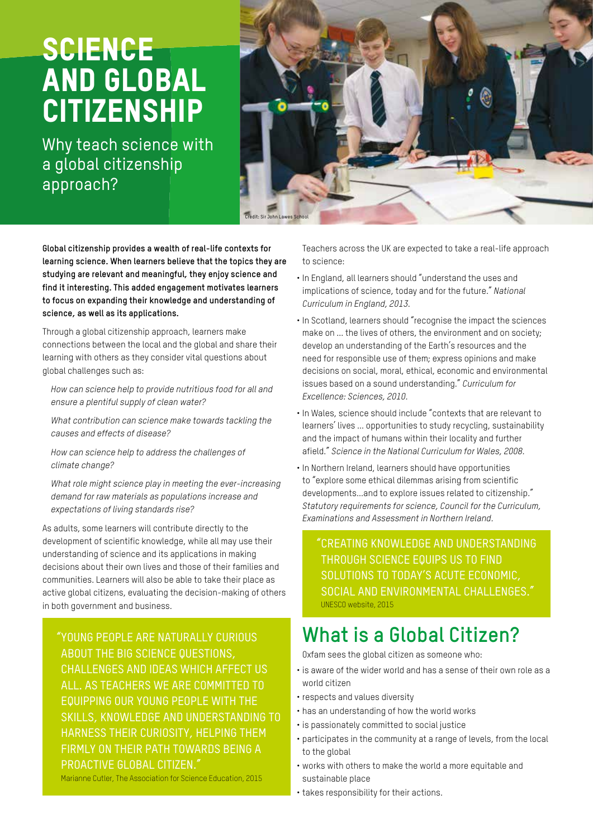# **SCIENCE** AND GLOBAL **CITIZENSHIP**

Why teach science with a global citizenship approach?



**Global citizenship provides a wealth of real-life contexts for learning science. When learners believe that the topics they are studying are relevant and meaningful, they enjoy science and find it interesting. This added engagement motivates learners to focus on expanding their knowledge and understanding of science, as well as its applications.**

Through a global citizenship approach, learners make connections between the local and the global and share their learning with others as they consider vital questions about global challenges such as:

*How can science help to provide nutritious food for all and ensure a plentiful supply of clean water?* 

*What contribution can science make towards tackling the causes and effects of disease?* 

*How can science help to address the challenges of climate change?* 

*What role might science play in meeting the ever-increasing demand for raw materials as populations increase and expectations of living standards rise?*

As adults, some learners will contribute directly to the development of scientific knowledge, while all may use their understanding of science and its applications in making decisions about their own lives and those of their families and communities. Learners will also be able to take their place as active global citizens, evaluating the decision-making of others in both government and business.

"YOUNG PEOPLE ARE NATURALLY CURIOUS ABOUT THE BIG SCIENCE QUESTIONS, CHALLENGES AND IDEAS WHICH AFFECT US ALL. AS TEACHERS WE ARE COMMITTED TO EQUIPPING OUR YOUNG PEOPLE WITH THE SKILLS, KNOWLEDGE AND UNDERSTANDING TO HARNESS THEIR CURIOSITY, HELPING THEM FIRMLY ON THEIR PATH TOWARDS BEING A PROACTIVE GLOBAL CITIZEN."

Marianne Cutler, The Association for Science Education, 2015

Teachers across the UK are expected to take a real-life approach to science:

- In England, all learners should "understand the uses and implications of science, today and for the future." *National Curriculum in England, 2013*.
- In Scotland, learners should "recognise the impact the sciences make on ... the lives of others, the environment and on society; develop an understanding of the Earth's resources and the need for responsible use of them; express opinions and make decisions on social, moral, ethical, economic and environmental issues based on a sound understanding." *Curriculum for Excellence: Sciences, 2010.*
- In Wales, science should include "contexts that are relevant to learners' lives ... opportunities to study recycling, sustainability and the impact of humans within their locality and further afield." *Science in the National Curriculum for Wales, 2008.*
- In Northern Ireland, learners should have opportunities to "explore some ethical dilemmas arising from scientific developments...and to explore issues related to citizenship." *Statutory requirements for science, Council for the Curriculum, Examinations and Assessment in Northern Ireland.*

"CREATING KNOWLEDGE AND UNDERSTANDING THROUGH SCIENCE EQUIPS US TO FIND SOLUTIONS TO TODAY'S ACUTE ECONOMIC, SOCIAL AND ENVIRONMENTAL CHALLENGES." UNESCO website, 2015

# **What is a Global Citizen?**

Oxfam sees the global citizen as someone who:

- is aware of the wider world and has a sense of their own role as a world citizen
- respects and values diversity
- has an understanding of how the world works
- is passionately committed to social justice
- participates in the community at a range of levels, from the local to the global
- works with others to make the world a more equitable and sustainable place
- takes responsibility for their actions.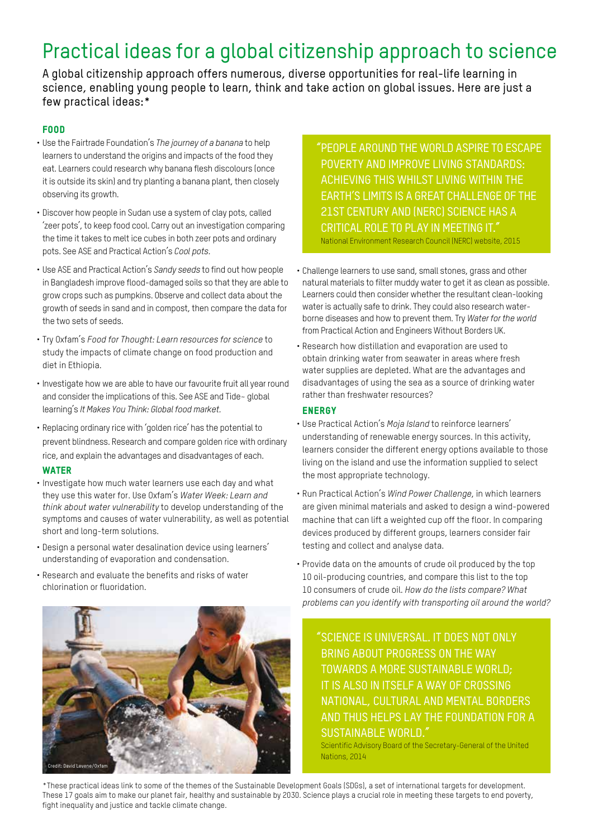# Practical ideas for a global citizenship approach to science

A global citizenship approach offers numerous, diverse opportunities for real-life learning in science, enabling young people to learn, think and take action on global issues. Here are just a few practical ideas:\*

# FOOD

- Use the Fairtrade Foundation's *The journey of a banana* to help learners to understand the origins and impacts of the food they eat. Learners could research why banana flesh discolours (once it is outside its skin) and try planting a banana plant, then closely observing its growth.
- Discover how people in Sudan use a system of clay pots, called 'zeer pots', to keep food cool. Carry out an investigation comparing the time it takes to melt ice cubes in both zeer pots and ordinary pots. See ASE and Practical Action's *Cool pots.*
- Use ASE and Practical Action's *Sandy seeds* to find out how people in Bangladesh improve flood-damaged soils so that they are able to grow crops such as pumpkins. Observe and collect data about the growth of seeds in sand and in compost, then compare the data for the two sets of seeds.
- Try Oxfam's *Food for Thought: Learn resources for science* to study the impacts of climate change on food production and diet in Ethiopia.
- Investigate how we are able to have our favourite fruit all year round and consider the implications of this. See ASE and Tide~ global learning's *It Makes You Think: Global food market.*
- Replacing ordinary rice with 'golden rice' has the potential to prevent blindness. Research and compare golden rice with ordinary rice, and explain the advantages and disadvantages of each.

# **WATER**

- Investigate how much water learners use each day and what they use this water for. Use Oxfam's *Water Week: Learn and think about water vulnerability* to develop understanding of the symptoms and causes of water vulnerability, as well as potential short and long-term solutions.
- Design a personal water desalination device using learners' understanding of evaporation and condensation.
- Research and evaluate the benefits and risks of water chlorination or fluoridation.



"PEOPLE AROUND THE WORLD ASPIRE TO ESCAPE POVERTY AND IMPROVE LIVING STANDARDS: ACHIEVING THIS WHILST LIVING WITHIN THE EARTH'S LIMITS IS A GREAT CHALLENGE OF THE 21ST CENTURY AND (NERC) SCIENCE HAS A CRITICAL ROLE TO PLAY IN MEETING IT." National Environment Research Council (NERC) website, 2015

- Challenge learners to use sand, small stones, grass and other natural materials to filter muddy water to get it as clean as possible. Learners could then consider whether the resultant clean-looking water is actually safe to drink. They could also research waterborne diseases and how to prevent them. Try *Water for the world* from Practical Action and Engineers Without Borders UK.
- Research how distillation and evaporation are used to obtain drinking water from seawater in areas where fresh water supplies are depleted. What are the advantages and disadvantages of using the sea as a source of drinking water rather than freshwater resources?

# **ENERGY**

- Use Practical Action's *Moja Island* to reinforce learners' understanding of renewable energy sources. In this activity, learners consider the different energy options available to those living on the island and use the information supplied to select the most appropriate technology.
- Run Practical Action's *Wind Power Challenge*, in which learners are given minimal materials and asked to design a wind-powered machine that can lift a weighted cup off the floor. In comparing devices produced by different groups, learners consider fair testing and collect and analyse data.
- Provide data on the amounts of crude oil produced by the top 10 oil-producing countries, and compare this list to the top 10 consumers of crude oil. *How do the lists compare? What problems can you identify with transporting oil around the world?* 
	- "SCIENCE IS UNIVERSAL. IT DOES NOT ONLY BRING ABOUT PROGRESS ON THE WAY TOWARDS A MORE SUSTAINABLE WORLD; IT IS ALSO IN ITSELF A WAY OF CROSSING NATIONAL, CULTURAL AND MENTAL BORDERS AND THUS HELPS LAY THE FOUNDATION FOR A SUSTAINABLE WORLD."

Scientific Advisory Board of the Secretary-General of the United Nations, 2014

\*These practical ideas link to some of the themes of the Sustainable Development Goals (SDGs), a set of international targets for development. These 17 goals aim to make our planet fair, healthy and sustainable by 2030. Science plays a crucial role in meeting these targets to end poverty, fight inequality and justice and tackle climate change.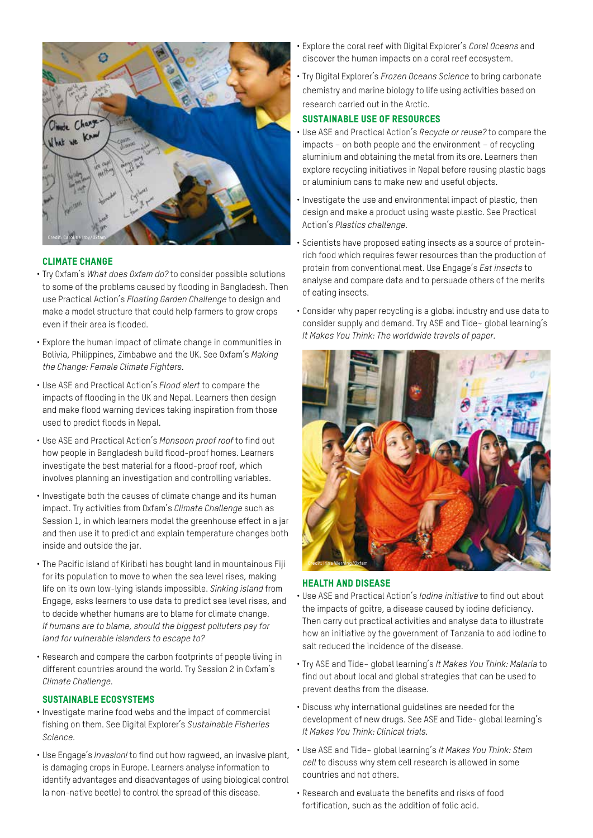

# CLIMATE CHANGE

- Try Oxfam's *What does Oxfam do?* to consider possible solutions to some of the problems caused by flooding in Bangladesh. Then use Practical Action's *Floating Garden Challenge* to design and make a model structure that could help farmers to grow crops even if their area is flooded.
- Explore the human impact of climate change in communities in Bolivia, Philippines, Zimbabwe and the UK. See Oxfam's *Making the Change: Female Climate Fighters.*
- Use ASE and Practical Action's *Flood alert* to compare the impacts of flooding in the UK and Nepal. Learners then design and make flood warning devices taking inspiration from those used to predict floods in Nepal.
- Use ASE and Practical Action's *Monsoon proof roof* to find out how people in Bangladesh build flood-proof homes. Learners investigate the best material for a flood-proof roof, which involves planning an investigation and controlling variables.
- Investigate both the causes of climate change and its human impact. Try activities from Oxfam's *Climate Challenge* such as Session 1, in which learners model the greenhouse effect in a jar and then use it to predict and explain temperature changes both inside and outside the jar.
- The Pacific island of Kiribati has bought land in mountainous Fiji for its population to move to when the sea level rises, making life on its own low-lying islands impossible. *Sinking island* from Engage, asks learners to use data to predict sea level rises, and to decide whether humans are to blame for climate change. *If humans are to blame, should the biggest polluters pay for land for vulnerable islanders to escape to?*
- Research and compare the carbon footprints of people living in different countries around the world. Try Session 2 in Oxfam's *Climate Challenge*.

#### SUSTAINABLE ECOSYSTEMS

- Investigate marine food webs and the impact of commercial fishing on them. See Digital Explorer's *Sustainable Fisheries Science.*
- Use Engage's *Invasion!* to find out how ragweed, an invasive plant, is damaging crops in Europe. Learners analyse information to identify advantages and disadvantages of using biological control (a non-native beetle) to control the spread of this disease.
- Explore the coral reef with Digital Explorer's *Coral Oceans* and discover the human impacts on a coral reef ecosystem.
- Try Digital Explorer's *Frozen Oceans Science* to bring carbonate chemistry and marine biology to life using activities based on research carried out in the Arctic.

# SUSTAINABLE USE OF RESOURCES

- Use ASE and Practical Action's *Recycle or reuse?* to compare the impacts – on both people and the environment – of recycling aluminium and obtaining the metal from its ore. Learners then explore recycling initiatives in Nepal before reusing plastic bags or aluminium cans to make new and useful objects.
- Investigate the use and environmental impact of plastic, then design and make a product using waste plastic. See Practical Action's *Plastics challenge*.
- Scientists have proposed eating insects as a source of proteinrich food which requires fewer resources than the production of protein from conventional meat. Use Engage's *Eat insects* to analyse and compare data and to persuade others of the merits of eating insects.
- Consider why paper recycling is a global industry and use data to consider supply and demand. Try ASE and Tide~ global learning's *It Makes You Think: The worldwide travels of paper.*



### HEALTH AND DISEASE

- Use ASE and Practical Action's *Iodine initiative* to find out about the impacts of goitre, a disease caused by iodine deficiency. Then carry out practical activities and analyse data to illustrate how an initiative by the government of Tanzania to add iodine to salt reduced the incidence of the disease.
- Try ASE and Tide~ global learning's *It Makes You Think: Malaria* to find out about local and global strategies that can be used to prevent deaths from the disease.
- Discuss why international guidelines are needed for the development of new drugs. See ASE and Tide~ global learning's *It Makes You Think: Clinical trials.*
- Use ASE and Tide~ global learning's *It Makes You Think: Stem cell* to discuss why stem cell research is allowed in some countries and not others.
- Research and evaluate the benefits and risks of food fortification, such as the addition of folic acid.